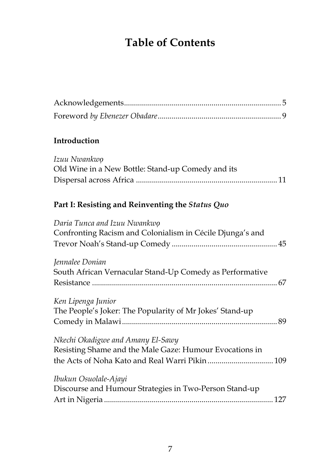## **Table of Contents**

## **Introduction**

| Izuu Nwankwo                                      |  |
|---------------------------------------------------|--|
| Old Wine in a New Bottle: Stand-up Comedy and its |  |
|                                                   |  |

## **Part I: Resisting and Reinventing the** *Status Quo*

| Daria Tunca and Izuu Nwankwo<br>Confronting Racism and Colonialism in Cécile Djunga's and |
|-------------------------------------------------------------------------------------------|
| Jennalee Donian                                                                           |
| South African Vernacular Stand-Up Comedy as Performative                                  |
|                                                                                           |
| Ken Lipenga Junior                                                                        |
| The People's Joker: The Popularity of Mr Jokes' Stand-up                                  |
|                                                                                           |
| Nkechi Okadigwe and Amany El-Sawy                                                         |
| Resisting Shame and the Male Gaze: Humour Evocations in                                   |
|                                                                                           |
| Ibukun Osuolale-Ajayi                                                                     |
| Discourse and Humour Strategies in Two-Person Stand-up                                    |
|                                                                                           |